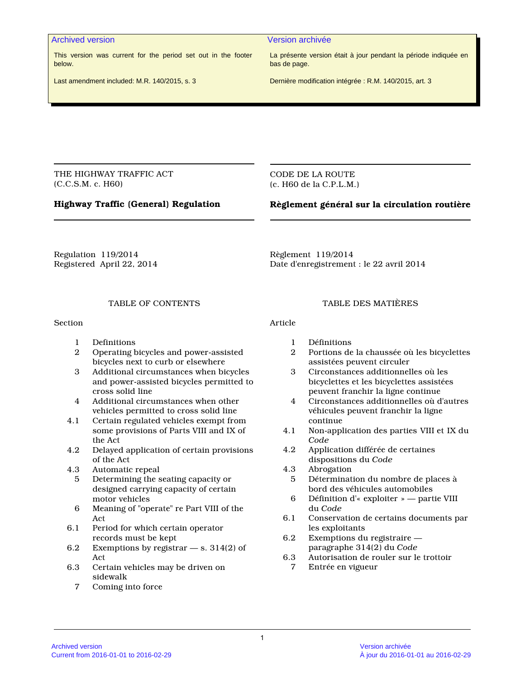This version was current for the period set out in the footer below.

Archived version Version archivée

La présente version était à jour pendant la période indiquée en bas de page.

Last amendment included: M.R. 140/2015, s. 3

Dernière modification intégrée : R.M. 140/2015, art. 3

THE HIGHWAY TRAFFIC ACT (C.C.S.M. c. H60)

CODE DE LA ROUTE (c. H60 de la C.P.L.M.)

# **Highway Traffic (General) Regulation**

# **Règlement général sur la circulation routière**

Regulation 119/2014 Registered April 22, 2014 Règlement 119/2014 Date d'enregistrement : le 22 avril 2014

## TABLE OF CONTENTS

Section

- 1 Definitions
- 2 Operating bicycles and power-assisted bicycles next to curb or elsewhere
- 3 Additional circumstances when bicycles and power-assisted bicycles permitted to cross solid line
- 4 Additional circumstances when other vehicles permitted to cross solid line
- 4.1 Certain regulated vehicles exempt from some provisions of Parts VIII and IX of the Act
- 4.2 Delayed application of certain provisions of the Act
- 4.3 Automatic repeal
	- 5 Determining the seating capacity or designed carrying capacity of certain motor vehicles
- 6 Meaning of "operate" re Part VIII of the Act
- 6.1 Period for which certain operator records must be kept
- 6.2 Exemptions by registrar s. 314(2) of Act
- 6.3 Certain vehicles may be driven on sidewalk
	- 7 Coming into force

# TABLE DES MATIÈRES

Article

- 1 Définitions
- 2 Portions de la chaussée où les bicyclettes assistées peuvent circuler
- 3 Circonstances additionnelles où les bicyclettes et les bicyclettes assistées peuvent franchir la ligne continue
- 4 Circonstances additionnelles où d'autres véhicules peuvent franchir la ligne continue
- 4.1 Non-application des parties VIII et IX du *Code*
- 4.2 Application différée de certaines dispositions du *Code*
- 4.3 Abrogation
- 5 Détermination du nombre de places à bord des véhicules automobiles
- 6 Définition d'« exploiter » partie VIII du *Code*
- 6.1 Conservation de certains documents par les exploitants
- 6.2 Exemptions du registraire paragraphe 314(2) du *Code*
- 6.3 Autorisation de rouler sur le trottoir
	- 7 Entrée en vigueur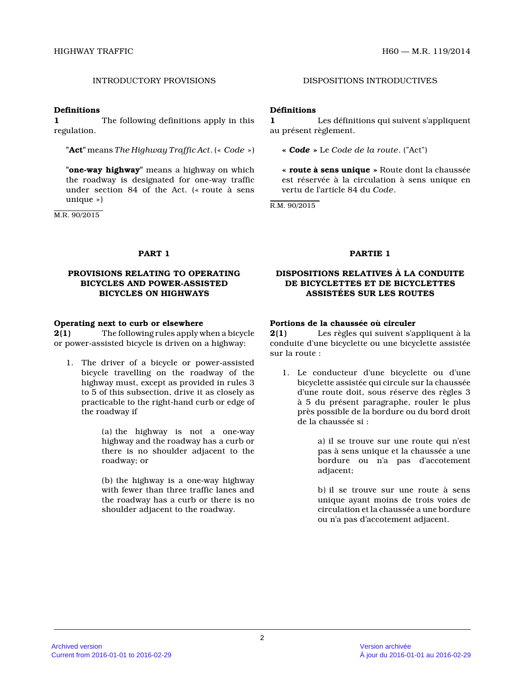#### **Definitions**

**1** The following definitions apply in this regulation.

**"Act"** means *The Highway Traffic Act*. (« *Code* »)

**"one-way highway"** means a highway on which the roadway is designated for one-way traffic under section 84 of the Act. (« route à sens unique »)

M.R. 90/2015

# INTRODUCTORY PROVISIONS DISPOSITIONS INTRODUCTIVES

## **Définitions**

**1** Les définitions qui suivent s'appliquent au présent règlement.

**«** *Code* **»** Le *Code de la route*. ("Act")

**« route à sens unique »** Route dont la chaussée est réservée à la circulation à sens unique en vertu de l'article 84 du *Code* .

R.M. 90/2015

## **PROVISIONS RELATING TO OPERATING BICYCLES AND POWER-ASSISTED BICYCLES ON HIGHWAYS**

### **Operating next to curb or elsewhere**

**2(1)** The following rules apply when a bicycle or power-assisted bicycle is driven on a highway:

1. The driver of a bicycle or power-assisted bicycle travelling on the roadway of the highway must, except as provided in rules 3 to 5 of this subsection, drive it as closely as practicable to the right-hand curb or edge of the roadway if

> (a) the highway is not a one-way highway and the roadway has a curb or there is no shoulder adjacent to the roadway; or

> (b) the highway is a one-way highway with fewer than three traffic lanes and the roadway has a curb or there is no shoulder adjacent to the roadway.

### **PART 1 PARTIE 1**

## **DISPOSITIONS RELATIVES À LA CONDUITE DE BICYCLETTES ET DE BICYCLETTES ASSISTÉES SUR LES ROUTES**

## **Portions de la chaussée où circuler**

**2(1)** Les règles qui suivent s'appliquent à la conduite d'une bicyclette ou une bicyclette assisté e sur la route :

1. Le conducteur d'une bicyclette ou d'une bicyclette assistée qui circule sur la chaussée d'une route doit, sous réserve des règles 3 à 5 du présent paragraphe, rouler le plus près possible de la bordure ou du bord droit de la chaussée si :

> a) il se trouve sur une route qui n'est pas à sens unique et la chaussée a une bordure ou n'a pas d'accotement adjacent;

> b) il se trouve sur une route à sens unique ayant moins de trois voies de circulation et la chaussée a une bordure ou n'a pas d'accotement adjacent.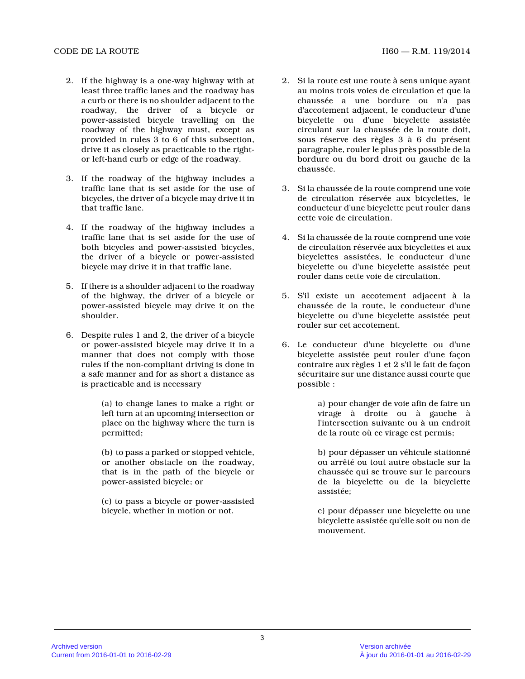- 2. If the highway is a one-way highway with at least three traffic lanes and the roadway has a curb or there is no shoulder adjacent to the roadway, the driver of a bicycle or power-assisted bicycle travelling on the roadway of the highway must, except as provided in rules 3 to 6 of this subsection, drive it as closely as practicable to the rightor left-hand curb or edge of the roadway.
- 3. If the roadway of the highway includes a traffic lane that is set aside for the use of bicycles, the driver of a bicycle may drive it in that traffic lane.
- 4. If the roadway of the highway includes a traffic lane that is set aside for the use of both bicycles and power-assisted bicycles, the driver of a bicycle or power-assisted bicycle may drive it in that traffic lane.
- 5. If there is a shoulder adjacent to the roadway of the highway, the driver of a bicycle or power-assisted bicycle may drive it on the shoulder.
- 6. Despite rules 1 and 2, the driver of a bicycle or power-assisted bicycle may drive it in a manner that does not comply with those rules if the non-compliant driving is done in a safe manner and for as short a distance as is practicable and is necessary

(a) to change lanes to make a right or left turn at an upcoming intersection or place on the highway where the turn is permitted;

(b) to pass a parked or stopped vehicle, or another obstacle on the roadway, that is in the path of the bicycle or power-assisted bicycle; or

(c) to pass a bicycle or power-assisted bicycle, whether in motion or not.

- 2. Si la route est une route à sens unique ayant au moins trois voies de circulation et que la chaussée a une bordure ou n'a pas d'accotement adjacent, le conducteur d'une bicyclette ou d'une bicyclette assistée circulant sur la chaussée de la route doit, sous réserve des règles 3 à 6 du présent paragraphe, rouler le plus près possible de la bordure ou du bord droit ou gauche de la chaussée.
- 3. Si la chaussée de la route comprend une voie de circulation réservée aux bicyclettes, le conducteur d'une bicyclette peut rouler dans cette voie de circulation.
- 4. Si la chaussée de la route comprend une voie de circulation réservée aux bicyclettes et aux bicyclettes assistées, le conducteur d'une bicyclette ou d'une bicyclette assistée peut rouler dans cette voie de circulation.
- 5. S'il existe un accotement adjacent à la chaussée de la route, le conducteur d'une bicyclette ou d'une bicyclette assistée peut rouler sur cet accotement.
- 6. Le conducteur d'une bicyclette ou d'une bicyclette assistée peut rouler d'une façon contraire aux règles 1 et 2 s'il le fait de façon sécuritaire sur une distance aussi courte que possible :

a) pour changer de voie afin de faire un virage à droite ou à gauche à l'intersection suivante ou à un endroit de la route où ce virage est permis;

b) pour dépasser un véhicule stationné ou arrêté ou tout autre obstacle sur la chaussée qui se trouve sur le parcours de la bicyclette ou de la bicyclette assistée;

c) pour dépasser une bicyclette ou une bicyclette assistée qu'elle soit ou non de mouvement.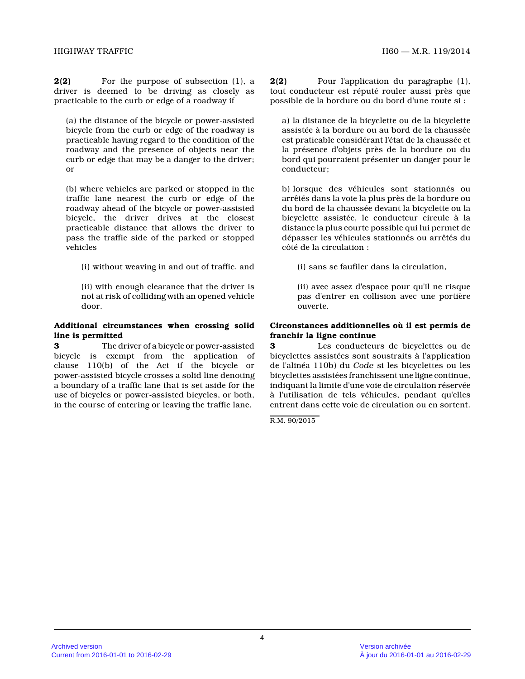**2(2)** For the purpose of subsection (1), a driver is deemed to be driving as closely as practicable to the curb or edge of a roadway if

(a) the distance of the bicycle or power-assisted bicycle from the curb or edge of the roadway is practicable having regard to the condition of the roadway and the presence of objects near the curb or edge that may be a danger to the driver; or

(b) where vehicles are parked or stopped in the traffic lane nearest the curb or edge of the roadway ahead of the bicycle or power-assisted bicycle, the driver drives at the closest practicable distance that allows the driver to pass the traffic side of the parked or stopped vehicles

(i) without weaving in and out of traffic, and

(ii) with enough clearance that the driver is not at risk of colliding with an opened vehicle door.

#### **Additional circumstances when crossing solid line is permitted**

**3** The driver of a bicycle or power-assisted bicycle is exempt from the application of clause 110(b) of the Act if the bicycle or power-assisted bicycle crosses a solid line denotin g a boundary of a traffic lane that is set aside for the use of bicycles or power-assisted bicycles, or both , in the course of entering or leaving the traffic lane.

**2(2)** Pour l'application du paragraphe (1), tout conducteur est réputé rouler aussi près que possible de la bordure ou du bord d'une route si :

a) la distance de la bicyclette ou de la bicyclette assistée à la bordure ou au bord de la chaussée est praticable considérant l'état de la chaussée et la présence d'objets près de la bordure ou du bord qui pourraient présenter un danger pour le conducteur;

b) lorsque des véhicules sont stationnés ou arrêtés dans la voie la plus près de la bordure ou du bord de la chaussée devant la bicyclette ou la bicyclette assistée, le conducteur circule à la distance la plus courte possible qui lui permet de dépasser les véhicules stationnés ou arrêtés du côté de la circulation :

(i) sans se faufiler dans la circulation,

(ii) avec assez d'espace pour qu'il ne risque pas d'entrer en collision avec une portière ouverte.

## **Circonstances additionnelles où il est permis de franchir la ligne continue**

**3** Les conducteurs de bicyclettes ou de bicyclettes assistées sont soustraits à l'application de l'alinéa 110b) du *Code* si les bicyclettes ou les bicyclettes assistées franchissent une ligne continue, indiquant la limite d'une voie de circulation réservée à l'utilisation de tels véhicules, pendant qu'elles entrent dans cette voie de circulation ou en sortent.

R.M. 90/2015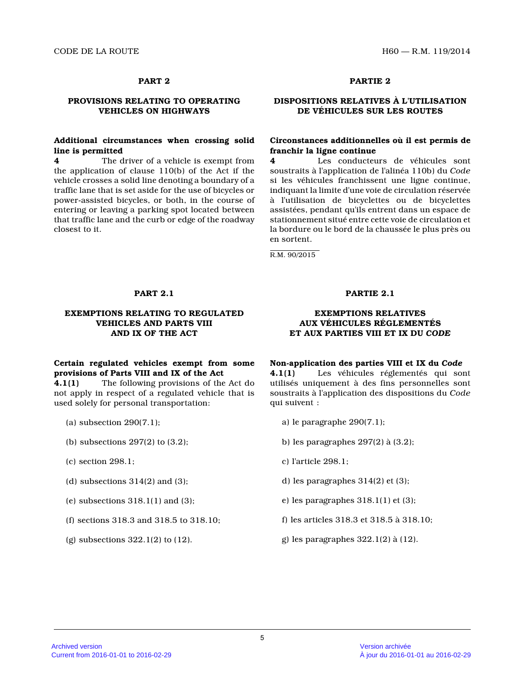# **PROVISIONS RELATING TO OPERATING VEHICLES ON HIGHWAYS**

## **Additional circumstances when crossing solid line is permitted**

**4** The driver of a vehicle is exempt from the application of clause 110(b) of the Act if the vehicle crosses a solid line denoting a boundary of a traffic lane that is set aside for the use of bicycles or power-assisted bicycles, or both, in the course of entering or leaving a parking spot located between that traffic lane and the curb or edge of the roadway closest to it.

# **PART 2 PARTIE 2**

# **DISPOSITIONS RELATIVES À L'UTILISATION DE VÉHICULES SUR LES ROUTES**

## **Circonstances additionnelles où il est permis de franchir la ligne continue**

**4** Les conducteurs de véhicules sont soustraits à l'application de l'alinéa 110b) du *Code* si les véhicules franchissent une ligne continue, indiquant la limite d'une voie de circulation réservée à l'utilisation de bicyclettes ou de bicyclettes assistées, pendant qu'ils entrent dans un espace de stationnement situé entre cette voie de circulation et la bordure ou le bord de la chaussée le plus près o u en sortent.

R.M. 90/2015

### **EXEMPTIONS RELATING TO REGULATED VEHICLES AND PARTS VIII AND IX OF THE ACT**

# **Certain regulated vehicles exempt from some provisions of Parts VIII and IX of the Act**

**4.1(1)** The following provisions of the Act do not apply in respect of a regulated vehicle that is used solely for personal transportation:

- (a) subsection 290(7.1);
- (b) subsections 297(2) to (3.2);
- (c) section 298.1;
- (d) subsections  $314(2)$  and  $(3)$ ;
- (e) subsections  $318.1(1)$  and  $(3)$ ;
- (f) sections 318.3 and 318.5 to 318.10;
- (g) subsections 322.1(2) to (12).

### **PART 2.1 PARTIE 2.1**

### **EXEMPTIONS RELATIVES AUX VÉHICULES RÉGLEMENTÉS ET AUX PARTIES VIII ET IX DU** *CODE*

#### **Non-application des parties VIII et IX du** *Code*

**4.1(1)** Les véhicules réglementés qui sont utilisés uniquement à des fins personnelles sont soustraits à l'application des dispositions du *Code* qui suivent :

- a) le paragraphe 290(7.1);
- b) les paragraphes 297(2) à (3.2);
- c) l'article 298.1;
- d) les paragraphes 314(2) et (3);
- e) les paragraphes 318.1(1) et (3);
- f) les articles 318.3 et 318.5 à 318.10;
- g) les paragraphes 322.1(2) à (12).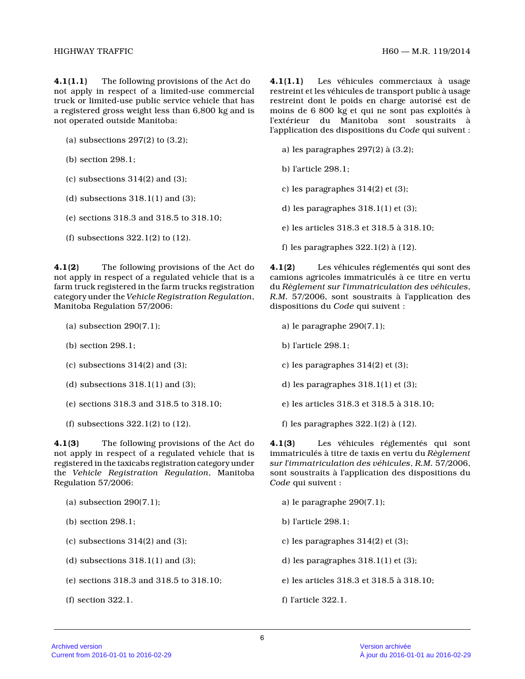**4.1(1.1)** The following provisions of the Act do not apply in respect of a limited-use commercial truck or limited-use public service vehicle that ha s a registered gross weight less than 6,800 kg and is not operated outside Manitoba:

- (a) subsections 297(2) to (3.2);
- (b) section 298.1;
- (c) subsections  $314(2)$  and  $(3)$ ;
- (d) subsections  $318.1(1)$  and  $(3)$ ;
- (e) sections 318.3 and 318.5 to 318.10;
- (f) subsections 322.1(2) to (12).

**4.1(2)** The following provisions of the Act do not apply in respect of a regulated vehicle that is a farm truck registered in the farm trucks registration category under the *Vehicle Registration Regulation* , Manitoba Regulation 57/2006:

- (a) subsection 290(7.1);
- (b) section 298.1;
- (c) subsections  $314(2)$  and  $(3)$ ;
- (d) subsections  $318.1(1)$  and  $(3)$ ;
- (e) sections 318.3 and 318.5 to 318.10;
- (f) subsections 322.1(2) to (12).

**4.1(3)** The following provisions of the Act do not apply in respect of a regulated vehicle that is registered in the taxicabs registration category under the *Vehicle Registration Regulation*, Manitoba Regulation 57/2006:

- (a) subsection 290(7.1);
- (b) section 298.1;
- (c) subsections  $314(2)$  and  $(3)$ ;
- (d) subsections  $318.1(1)$  and  $(3)$ ;
- (e) sections 318.3 and 318.5 to 318.10;
- (f) section 322.1.

**4.1(1.1)** Les véhicules commerciaux à usage restreint et les véhicules de transport public à usage restreint dont le poids en charge autorisé est de moins de 6 800 kg et qui ne sont pas exploités à l'extérieur du Manitoba sont soustraits à l'application des dispositions du *Code* qui suivent :

- a) les paragraphes 297(2) à (3.2);
- b) l'article 298.1;
- c) les paragraphes 314(2) et (3);
- d) les paragraphes 318.1(1) et (3);
- e) les articles 318.3 et 318.5 à 318.10;
- f) les paragraphes 322.1(2) à (12).

**4.1(2)** Les véhicules réglementés qui sont des camions agricoles immatriculés à ce titre en vertu du *Règlement sur l'immatriculation des véhicules* , *R.M.* 57/2006, sont soustraits à l'application des dispositions du *Code* qui suivent :

- a) le paragraphe 290(7.1);
- b) l'article 298.1;
- c) les paragraphes 314(2) et (3);
- d) les paragraphes 318.1(1) et (3);
- e) les articles 318.3 et 318.5 à 318.10;
- f) les paragraphes 322.1(2) à (12).

**4.1(3)** Les véhicules réglementés qui sont immatriculés à titre de taxis en vertu du *Règlement sur l'immatriculation des véhicules*, *R.M.* 57/2006, sont soustraits à l'application des dispositions du *Code* qui suivent :

- a) le paragraphe 290(7.1);
- b) l'article 298.1;
- c) les paragraphes 314(2) et (3);
- d) les paragraphes 318.1(1) et (3);
- e) les articles 318.3 et 318.5 à 318.10;
- f) l'article 322.1.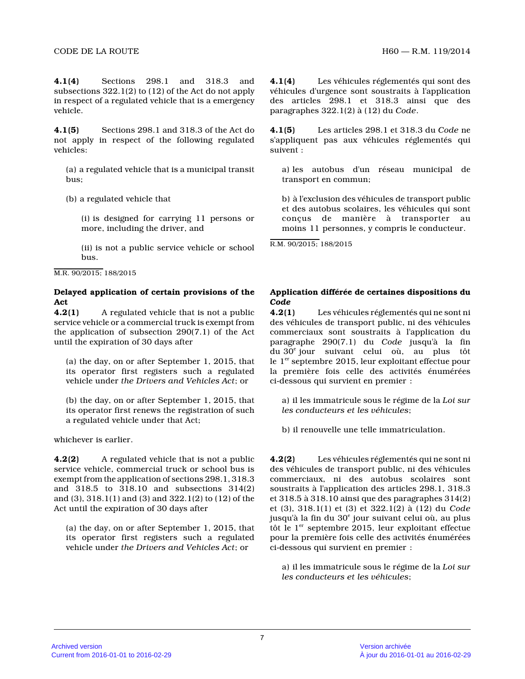**4.1(4)** Sections 298.1 and 318.3 and subsections 322.1(2) to (12) of the Act do not appl y in respect of a regulated vehicle that is a emergency vehicle.

**4.1(5)** Sections 298.1 and 318.3 of the Act do not apply in respect of the following regulated vehicles:

(a) a regulated vehicle that is a municipal transit bus;

(b) a regulated vehicle that

(i) is designed for carrying 11 persons or more, including the driver, and

(ii) is not a public service vehicle or school bus.

M.R. 90/2015; 188/2015

### **Delayed application of certain provisions of the Act**

**4.2(1)** A regulated vehicle that is not a public service vehicle or a commercial truck is exempt fro m the application of subsection 290(7.1) of the Act until the expiration of 30 days after

(a) the day, on or after September 1, 2015, that its operator first registers such a regulated vehicle under *the Drivers and Vehicles Act*; or

(b) the day, on or after September 1, 2015, that its operator first renews the registration of such a regulated vehicle under that Act;

whichever is earlier.

**4.2(2)** A regulated vehicle that is not a public service vehicle, commercial truck or school bus is exempt from the application of sections 298.1, 318. 3 and 318.5 to 318.10 and subsections 314(2) and (3), 318.1(1) and (3) and 322.1(2) to (12) of the Act until the expiration of 30 days after

(a) the day, on or after September 1, 2015, that its operator first registers such a regulated vehicle under *the Drivers and Vehicles Act*; or

**4.1(4)** Les véhicules réglementés qui sont des véhicules d'urgence sont soustraits à l'application des articles 298.1 et 318.3 ainsi que des paragraphes 322.1(2) à (12) du *Code* .

**4.1(5)** Les articles 298.1 et 318.3 du *Code* ne s'appliquent pas aux véhicules réglementés qui suivent :

a) les autobus d'un réseau municipal de transport en commun;

b) à l'exclusion des véhicules de transport public et des autobus scolaires, les véhicules qui sont conçus de manière à transporter au moins 11 personnes, y compris le conducteur.

R.M. 90/2015; 188/2015

# **Application différée de certaines dispositions du** *Code*

**4.2(1)** Les véhicules réglementés qui ne sont ni des véhicules de transport public, ni des véhicules commerciaux sont soustraits à l'application du paragraphe 290(7.1) du *Code* jusqu'à la fin du 30<sup>e</sup> jour suivant celui où, au plus tôt le  $1<sup>er</sup>$  septembre 2015, leur exploitant effectue pour la première fois celle des activités énumérées ci-dessous qui survient en premier :

a) il les immatricule sous le régime de la *Loi sur les conducteurs et les véhicules* ;

b) il renouvelle une telle immatriculation.

**4.2(2)** Les véhicules réglementés qui ne sont ni des véhicules de transport public, ni des véhicules commerciaux, ni des autobus scolaires sont soustraits à l'application des articles 298.1, 318. 3 et 318.5 à 318.10 ainsi que des paragraphes 314(2) et (3), 318.1(1) et (3) et 322.1(2) à (12) du *Code* jusqu'à la fin du 30<sup>e</sup> jour suivant celui où, au plus tôt le  $1<sup>er</sup>$  septembre 2015, leur exploitant effectue pour la première fois celle des activités énumérées ci-dessous qui survient en premier :

a) il les immatricule sous le régime de la *Loi sur les conducteurs et les véhicules* ;

7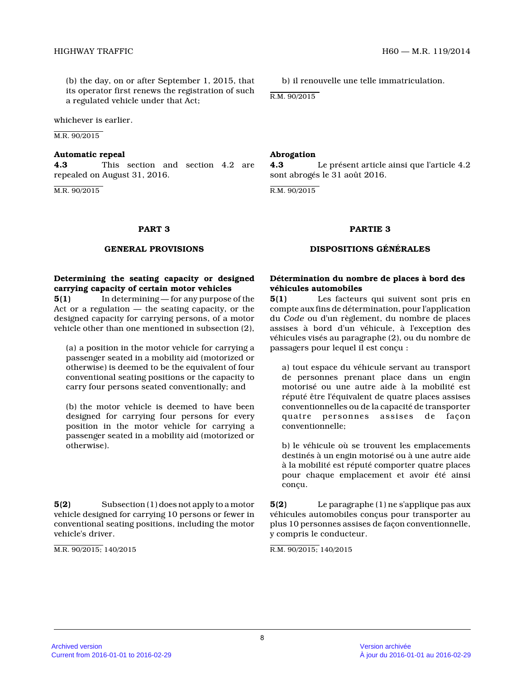(b) the day, on or after September 1, 2015, that its operator first renews the registration of such a regulated vehicle under that Act;

whichever is earlier.

M.R. 90/2015

#### **Automatic repeal**

**4.3** This section and section 4.2 are repealed on August 31, 2016.

M.R. 90/2015

b) il renouvelle une telle immatriculation.

R.M. 90/2015

#### **Abrogation**

**4.3** Le présent article ainsi que l'article 4.2 sont abrogés le 31 août 2016.

R.M. 90/2015

#### **PART 3 PARTIE 3**

#### **GENERAL PROVISIONS DISPOSITIONS GÉNÉRALES**

# **Determining the seating capacity or designed carrying capacity of certain motor vehicles**

**5(1)** In determining — for any purpose of the Act or a regulation — the seating capacity, or the designed capacity for carrying persons, of a motor vehicle other than one mentioned in subsection (2),

(a) a position in the motor vehicle for carrying a passenger seated in a mobility aid (motorized or otherwise) is deemed to be the equivalent of four conventional seating positions or the capacity to carry four persons seated conventionally; and

(b) the motor vehicle is deemed to have been designed for carrying four persons for every position in the motor vehicle for carrying a passenger seated in a mobility aid (motorized or otherwise).

**5(2)** Subsection (1) does not apply to a motor vehicle designed for carrying 10 persons or fewer i n conventional seating positions, including the motor vehicle's driver.

M.R. 90/2015; 140/2015

# **Détermination du nombre de places à bord des véhicules automobiles**

**5(1)** Les facteurs qui suivent sont pris en compte aux fins de détermination, pour l'applicatio n du *Code* ou d'un règlement, du nombre de places assises à bord d'un véhicule, à l'exception des véhicules visés au paragraphe (2), ou du nombre de passagers pour lequel il est conçu :

a) tout espace du véhicule servant au transport de personnes prenant place dans un engin motorisé ou une autre aide à la mobilité est réputé être l'équivalent de quatre places assises conventionnelles ou de la capacité de transporter quatre personnes assises de façon conventionnelle;

b) le véhicule où se trouvent les emplacements destinés à un engin motorisé ou à une autre aide à la mobilité est réputé comporter quatre places pour chaque emplacement et avoir été ainsi conçu.

**5(2)** Le paragraphe (1) ne s'applique pas aux véhicules automobiles conçus pour transporter au plus 10 personnes assises de façon conventionnelle, y compris le conducteur.

R.M. 90/2015; 140/2015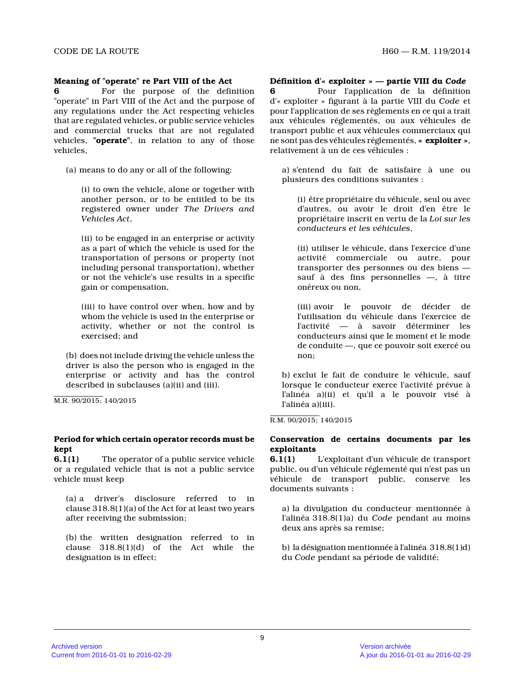### **Meaning of "operate" re Part VIII of the Act**

**6** For the purpose of the definition "operate" in Part VIII of the Act and the purpose o f any regulations under the Act respecting vehicles that are regulated vehicles, or public service vehicles and commercial trucks that are not regulated vehicles, **"operate"**, in relation to any of those vehicles,

(a) means to do any or all of the following:

(i) to own the vehicle, alone or together with another person, or to be entitled to be its registered owner under *The Drivers and Vehicles Act* ,

(ii) to be engaged in an enterprise or activity as a part of which the vehicle is used for the transportation of persons or property (not including personal transportation), whether or not the vehicle's use results in a specific gain or compensation,

(iii) to have control over when, how and by whom the vehicle is used in the enterprise or activity, whether or not the control is exercised; and

(b) does not include driving the vehicle unless the driver is also the person who is engaged in the enterprise or activity and has the control described in subclauses (a)(ii) and (iii).

M.R. 90/2015; 140/2015

### **Period for which certain operator records must be kept**

**6.1(1)** The operator of a public service vehicle or a regulated vehicle that is not a public service vehicle must keep

(a) a driver's disclosure referred to in clause 318.8(1)(a) of the Act for at least two year s after receiving the submission;

(b) the written designation referred to in clause 318.8(1)(d) of the Act while the designation is in effect;

**Définition d'« exploiter » — partie VIII du** *Code*

**6** Pour l'application de la définition d'« exploiter » figurant à la partie VIII du *Code* et pour l'application de ses règlements en ce qui a trait aux véhicules réglementés, ou aux véhicules de transport public et aux véhicules commerciaux qui ne sont pas des véhicules réglementés, **« exploiter »** , relativement à un de ces véhicules :

a) s'entend du fait de satisfaire à une ou plusieurs des conditions suivantes :

(i) être propriétaire du véhicule, seul ou avec d'autres, ou avoir le droit d'en être le propriétaire inscrit en vertu de la *Loi sur les conducteurs et les véhicules* ,

(ii) utiliser le véhicule, dans l'exercice d'une activité commerciale ou autre, pour transporter des personnes ou des biens sauf à des fins personnelles —, à titre onéreux ou non,

(iii) avoir le pouvoir de décider de l'utilisation du véhicule dans l'exercice de l'activité — à savoir déterminer les conducteurs ainsi que le moment et le mode de conduite —, que ce pouvoir soit exercé ou non;

b) exclut le fait de conduire le véhicule, sauf lorsque le conducteur exerce l'activité prévue à l'alinéa a)(ii) et qu'il a le pouvoir visé à l'alinéa a)(iii).

R.M. 90/2015; 140/2015

## **Conservation de certains documents par les exploitants**

**6.1(1)** L'exploitant d'un véhicule de transport public, ou d'un véhicule réglementé qui n'est pas u n véhicule de transport public, conserve les documents suivants :

a) la divulgation du conducteur mentionnée à l'alinéa 318.8(1)a) du *Code* pendant au moins deux ans après sa remise;

b) la désignation mentionnée à l'alinéa 318.8(1)d) du *Code* pendant sa période de validité;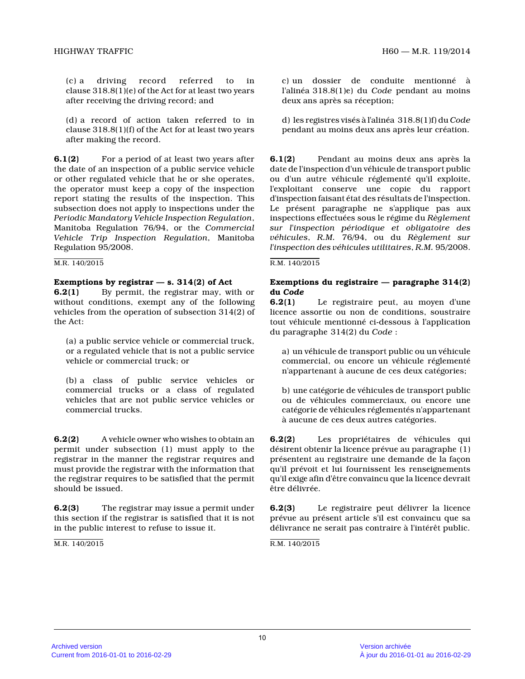(c) a driving record referred to in clause 318.8(1)(e) of the Act for at least two year s after receiving the driving record; and

(d) a record of action taken referred to in clause 318.8(1)(f) of the Act for at least two year s after making the record.

**6.1(2)** For a period of at least two years after the date of an inspection of a public service vehicle or other regulated vehicle that he or she operates, the operator must keep a copy of the inspection report stating the results of the inspection. This subsection does not apply to inspections under the *Periodic Mandatory Vehicle Inspection Regulation* , Manitoba Regulation 76/94, or the *Commercial Vehicle Trip Inspection Regulation*, Manitoba Regulation 95/2008.

#### M.R. 140/2015

### **Exemptions by registrar — s. 314(2) of Act**

**6.2(1)** By permit, the registrar may, with or without conditions, exempt any of the following vehicles from the operation of subsection 314(2) of the Act:

(a) a public service vehicle or commercial truck, or a regulated vehicle that is not a public service vehicle or commercial truck; or

(b) a class of public service vehicles or commercial trucks or a class of regulated vehicles that are not public service vehicles or commercial trucks.

**6.2(2)** A vehicle owner who wishes to obtain an permit under subsection (1) must apply to the registrar in the manner the registrar requires and must provide the registrar with the information tha t the registrar requires to be satisfied that the permit should be issued.

**6.2(3)** The registrar may issue a permit under this section if the registrar is satisfied that it is not in the public interest to refuse to issue it.

M.R. 140/2015

c) un dossier de conduite mentionné à l'alinéa 318.8(1)e) du *Code* pendant au moins deux ans après sa réception;

d) les registres visés à l'alinéa 318.8(1)f) du *Code* pendant au moins deux ans après leur création.

**6.1(2)** Pendant au moins deux ans après la date de l'inspection d'un véhicule de transport public ou d'un autre véhicule réglementé qu'il exploite, l'exploitant conserve une copie du rapport d'inspection faisant état des résultats de l'inspection. Le présent paragraphe ne s'applique pas aux inspections effectuées sous le régime du *Règlement sur l'inspection périodique et obligatoire des véhicules*, *R.M.* 76/94, ou du *Règlement sur l'inspection des véhicules utilitaires*, *R.M.* 95/2008.

#### R.M. 140/2015

## **Exemptions du registraire — paragraphe 314(2) du** *Code*

**6.2(1)** Le registraire peut, au moyen d'une licence assortie ou non de conditions, soustraire tout véhicule mentionné ci-dessous à l'application du paragraphe 314(2) du *Code* :

a) un véhicule de transport public ou un véhicule commercial, ou encore un véhicule réglementé n'appartenant à aucune de ces deux catégories;

b) une catégorie de véhicules de transport public ou de véhicules commerciaux, ou encore une catégorie de véhicules réglementés n'appartenant à aucune de ces deux autres catégories.

**6.2(2)** Les propriétaires de véhicules qui désirent obtenir la licence prévue au paragraphe (1) présentent au registraire une demande de la façon qu'il prévoit et lui fournissent les renseignements qu'il exige afin d'être convaincu que la licence devrait être délivrée.

**6.2(3)** Le registraire peut délivrer la licence prévue au présent article s'il est convaincu que sa délivrance ne serait pas contraire à l'intérêt public.

R.M. 140/2015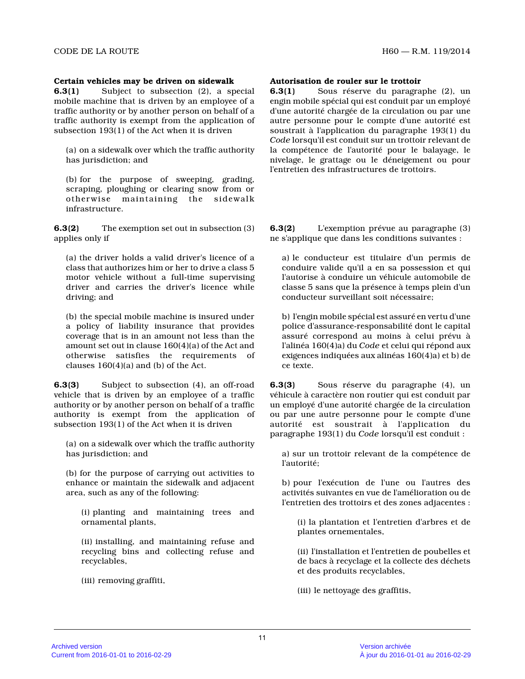#### **Certain vehicles may be driven on sidewalk**

**6.3(1)** Subject to subsection (2), a special mobile machine that is driven by an employee of a traffic authority or by another person on behalf of a traffic authority is exempt from the application of subsection 193(1) of the Act when it is driven

(a) on a sidewalk over which the traffic authority has jurisdiction; and

(b) for the purpose of sweeping, grading, scraping, ploughing or clearing snow from or otherwise maintaining the sidewalk infrastructure.

**6.3(2)** The exemption set out in subsection (3) applies only if

(a) the driver holds a valid driver's licence of a class that authorizes him or her to drive a class 5 motor vehicle without a full-time supervising driver and carries the driver's licence while driving; and

(b) the special mobile machine is insured under a policy of liability insurance that provides coverage that is in an amount not less than the amount set out in clause 160(4)(a) of the Act and otherwise satisfies the requirements of clauses 160(4)(a) and (b) of the Act.

**6.3(3)** Subject to subsection (4), an off-road vehicle that is driven by an employee of a traffic authority or by another person on behalf of a traffic authority is exempt from the application of subsection 193(1) of the Act when it is driven

(a) on a sidewalk over which the traffic authority has jurisdiction; and

(b) for the purpose of carrying out activities to enhance or maintain the sidewalk and adjacent area, such as any of the following:

(i) planting and maintaining trees and ornamental plants,

(ii) installing, and maintaining refuse and recycling bins and collecting refuse and recyclables,

(iii) removing graffiti,

#### **Autorisation de rouler sur le trottoir**

**6.3(1)** Sous réserve du paragraphe (2), un engin mobile spécial qui est conduit par un employé d'une autorité chargée de la circulation ou par une autre personne pour le compte d'une autorité est soustrait à l'application du paragraphe 193(1) du *Code* lorsqu'il est conduit sur un trottoir relevant de la compétence de l'autorité pour le balayage, le nivelage, le grattage ou le déneigement ou pour l'entretien des infrastructures de trottoirs.

**6.3(2)** L'exemption prévue au paragraphe (3) ne s'applique que dans les conditions suivantes :

a) le conducteur est titulaire d'un permis de conduire valide qu'il a en sa possession et qui l'autorise à conduire un véhicule automobile de classe 5 sans que la présence à temps plein d'un conducteur surveillant soit nécessaire;

b) l'engin mobile spécial est assuré en vertu d'une police d'assurance-responsabilité dont le capital assuré correspond au moins à celui prévu à l'alinéa 160(4)a) du *Code* et celui qui répond aux exigences indiquées aux alinéas 160(4)a) et b) de ce texte.

**6.3(3)** Sous réserve du paragraphe (4), un véhicule à caractère non routier qui est conduit pa r un employé d'une autorité chargée de la circulation ou par une autre personne pour le compte d'une autorité est soustrait à l'application du paragraphe 193(1) du *Code* lorsqu'il est conduit :

a) sur un trottoir relevant de la compétence de l'autorité;

b) pour l'exécution de l'une ou l'autres des activités suivantes en vue de l'amélioration ou de l'entretien des trottoirs et des zones adjacentes :

(i) la plantation et l'entretien d'arbres et de plantes ornementales,

(ii) l'installation et l'entretien de poubelles et de bacs à recyclage et la collecte des déchets et des produits recyclables,

(iii) le nettoyage des graffitis,